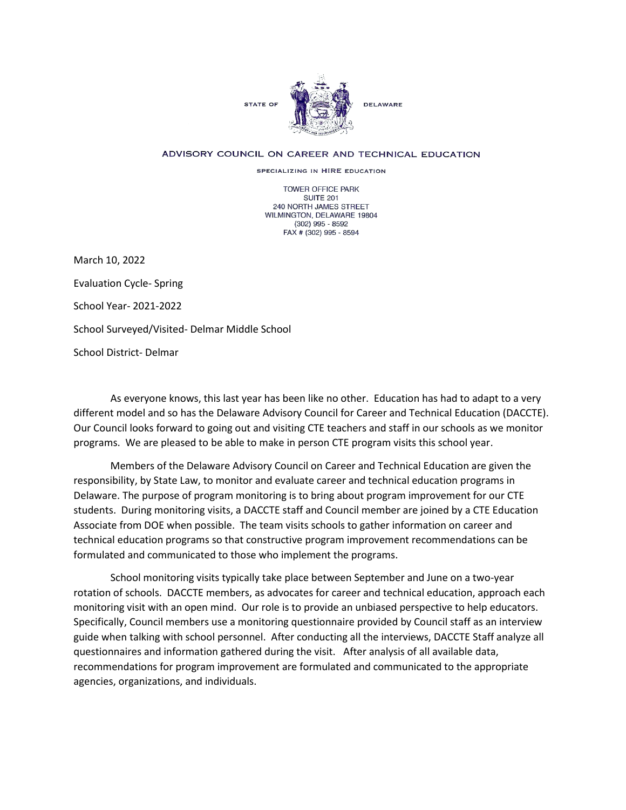

## ADVISORY COUNCIL ON CAREER AND TECHNICAL EDUCATION

SPECIALIZING IN HIRE EDUCATION

TOWER OFFICE PARK SUITE 201 240 NORTH JAMES STREET WILMINGTON, DELAWARE 19804 (302) 995 - 8592 FAX # (302) 995 - 8594

March 10, 2022 Evaluation Cycle- Spring School Year- 2021-2022 School Surveyed/Visited- Delmar Middle School School District- Delmar

As everyone knows, this last year has been like no other. Education has had to adapt to a very different model and so has the Delaware Advisory Council for Career and Technical Education (DACCTE). Our Council looks forward to going out and visiting CTE teachers and staff in our schools as we monitor programs. We are pleased to be able to make in person CTE program visits this school year.

Members of the Delaware Advisory Council on Career and Technical Education are given the responsibility, by State Law, to monitor and evaluate career and technical education programs in Delaware. The purpose of program monitoring is to bring about program improvement for our CTE students. During monitoring visits, a DACCTE staff and Council member are joined by a CTE Education Associate from DOE when possible. The team visits schools to gather information on career and technical education programs so that constructive program improvement recommendations can be formulated and communicated to those who implement the programs.

School monitoring visits typically take place between September and June on a two-year rotation of schools. DACCTE members, as advocates for career and technical education, approach each monitoring visit with an open mind. Our role is to provide an unbiased perspective to help educators. Specifically, Council members use a monitoring questionnaire provided by Council staff as an interview guide when talking with school personnel. After conducting all the interviews, DACCTE Staff analyze all questionnaires and information gathered during the visit. After analysis of all available data, recommendations for program improvement are formulated and communicated to the appropriate agencies, organizations, and individuals.